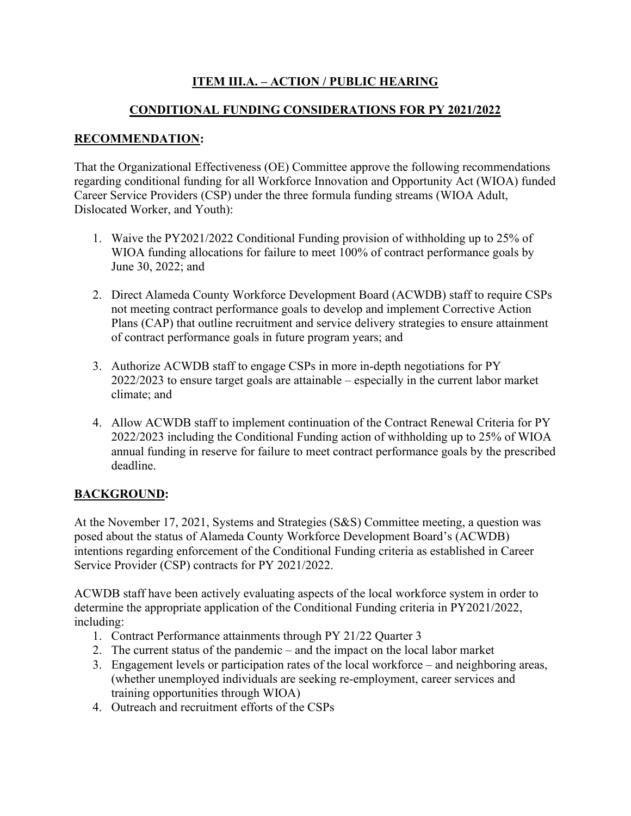# **ITEM III.A. – ACTION / PUBLIC HEARING**

## **CONDITIONAL FUNDING CONSIDERATIONS FOR PY 2021/2022**

### **RECOMMENDATION:**

That the Organizational Effectiveness (OE) Committee approve the following recommendations regarding conditional funding for all Workforce Innovation and Opportunity Act (WIOA) funded Career Service Providers (CSP) under the three formula funding streams (WIOA Adult, Dislocated Worker, and Youth):

- 1. Waive the PY2021/2022 Conditional Funding provision of withholding up to 25% of WIOA funding allocations for failure to meet 100% of contract performance goals by June 30, 2022; and
- 2. Direct Alameda County Workforce Development Board (ACWDB) staff to require CSPs not meeting contract performance goals to develop and implement Corrective Action Plans (CAP) that outline recruitment and service delivery strategies to ensure attainment of contract performance goals in future program years; and
- 3. Authorize ACWDB staff to engage CSPs in more in-depth negotiations for PY 2022/2023 to ensure target goals are attainable – especially in the current labor market climate; and
- 4. Allow ACWDB staff to implement continuation of the Contract Renewal Criteria for PY 2022/2023 including the Conditional Funding action of withholding up to 25% of WIOA annual funding in reserve for failure to meet contract performance goals by the prescribed deadline.

## **BACKGROUND:**

At the November 17, 2021, Systems and Strategies (S&S) Committee meeting, a question was posed about the status of Alameda County Workforce Development Board's (ACWDB) intentions regarding enforcement of the Conditional Funding criteria as established in Career Service Provider (CSP) contracts for PY 2021/2022.

ACWDB staff have been actively evaluating aspects of the local workforce system in order to determine the appropriate application of the Conditional Funding criteria in PY2021/2022, including:

- 1. Contract Performance attainments through PY 21/22 Quarter 3
- 2. The current status of the pandemic and the impact on the local labor market
- 3. Engagement levels or participation rates of the local workforce and neighboring areas, (whether unemployed individuals are seeking re-employment, career services and training opportunities through WIOA)
- 4. Outreach and recruitment efforts of the CSPs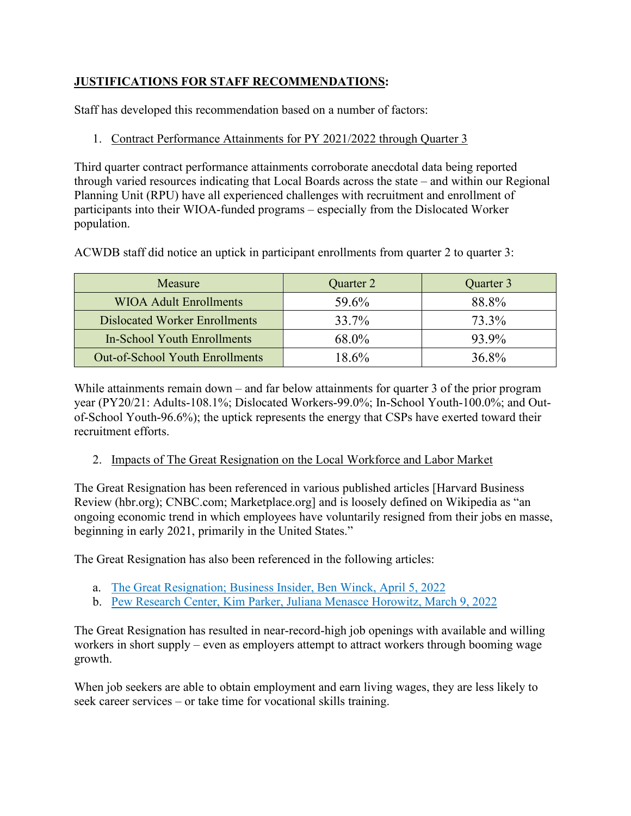# **JUSTIFICATIONS FOR STAFF RECOMMENDATIONS:**

Staff has developed this recommendation based on a number of factors:

# 1. Contract Performance Attainments for PY 2021/2022 through Quarter 3

Third quarter contract performance attainments corroborate anecdotal data being reported through varied resources indicating that Local Boards across the state – and within our Regional Planning Unit (RPU) have all experienced challenges with recruitment and enrollment of participants into their WIOA-funded programs – especially from the Dislocated Worker population.

ACWDB staff did notice an uptick in participant enrollments from quarter 2 to quarter 3:

| Measure                                | Quarter 2 | Quarter 3 |
|----------------------------------------|-----------|-----------|
| <b>WIOA Adult Enrollments</b>          | 59.6%     | 88.8%     |
| <b>Dislocated Worker Enrollments</b>   | 33.7%     | 73.3%     |
| In-School Youth Enrollments            | 68.0%     | 93.9%     |
| <b>Out-of-School Youth Enrollments</b> | 18.6%     | 36.8%     |

While attainments remain down – and far below attainments for quarter 3 of the prior program year (PY20/21: Adults-108.1%; Dislocated Workers-99.0%; In-School Youth-100.0%; and Outof-School Youth-96.6%); the uptick represents the energy that CSPs have exerted toward their recruitment efforts.

## 2. Impacts of The Great Resignation on the Local Workforce and Labor Market

The Great Resignation has been referenced in various published articles [Harvard Business Review (hbr.org); CNBC.com; Marketplace.org] and is loosely defined on Wikipedia as "an ongoing economic trend in which employees have voluntarily resigned from their jobs en masse, beginning in early 2021, primarily in the United States."

The Great Resignation has also been referenced in the following articles:

- a. [The Great Resignation; Business Insider, Ben Winck, April 5, 2022](https://www.businessinsider.com/great-resignation-normal-economic-recovery-san-francisco-federal-reserve-study-2022-4)
- b. [Pew Research Center, Kim Parker, Juliana Menasce Horowitz, March 9, 2022](https://www.pewresearch.org/fact-tank/2022/03/09/majority-of-workers-who-quit-a-job-in-2021-cite-low-pay-no-opportunities-for-advancement-feeling-disrespected/)

The Great Resignation has resulted in near-record-high job openings with available and willing workers in short supply – even as employers attempt to attract workers through booming wage growth.

When job seekers are able to obtain employment and earn living wages, they are less likely to seek career services – or take time for vocational skills training.